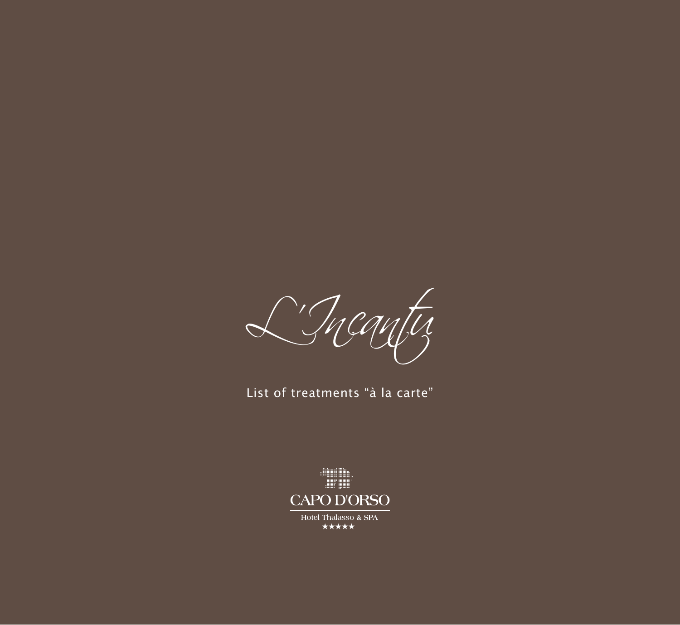L'Incantu

List of treatments "à la carte"

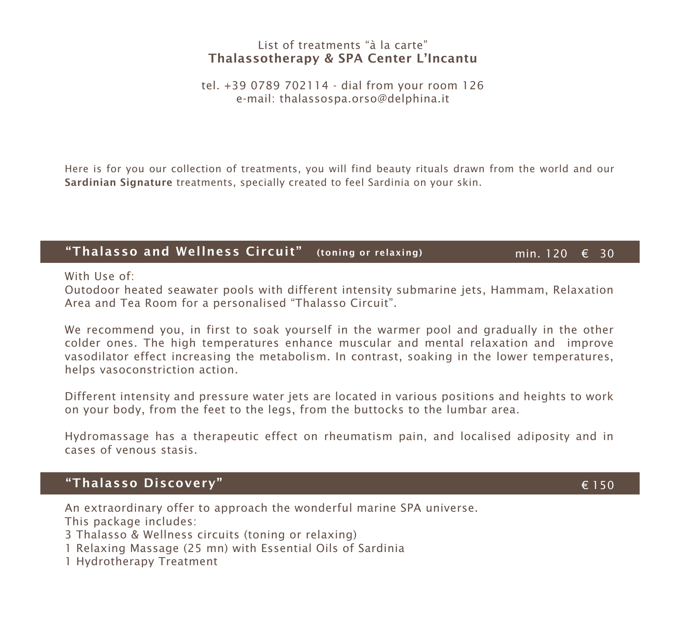### List of treatments "à la carte" Thalassotherapy & SPA Center L'Incantu

tel. +39 0789 702114 - dial from your room 126 e-mail: thalassospa.orso@delphina.it

Here is for you our collection of treatments, you will find beauty rituals drawn from the world and our Sardinian Signature treatments, specially created to feel Sardinia on your skin.

### "Thalasso and Wellness Circuit" (toning or relaxing)

min. 120 € 30

With Use of:

Outodoor heated seawater pools with different intensity submarine jets, Hammam, Relaxation Area and Tea Room for a personalised "Thalasso Circuit".

We recommend you, in first to soak yourself in the warmer pool and gradually in the other colder ones. The high temperatures enhance muscular and mental relaxation and improve vasodilator effect increasing the metabolism. In contrast, soaking in the lower temperatures, helps vasoconstriction action.

Different intensity and pressure water jets are located in various positions and heights to work on your body, from the feet to the legs, from the buttocks to the lumbar area.

Hydromassage has a therapeutic effect on rheumatism pain, and localised adiposity and in cases of venous stasis.

### "Thalasso Discovery"

An extraordinary offer to approach the wonderful marine SPA universe. This package includes:

3 Thalasso & Wellness circuits (toning or relaxing)

- 1 Relaxing Massage (25 mn) with Essential Oils of Sardinia
- 1 Hydrotherapy Treatment

€ 150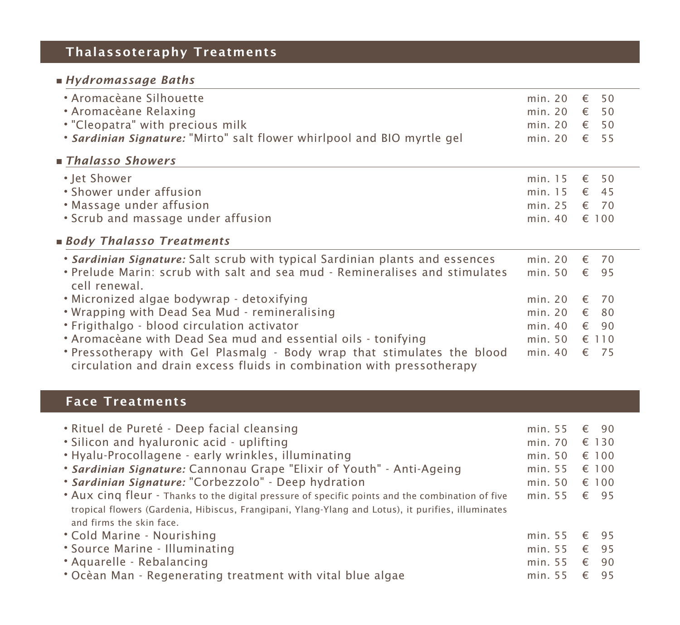# Thalassoteraphy Treatments

# *Hydromassage Baths*

| • Aromacèane Silhouette                                                                                                                          | min. 20 | €              | 50   |
|--------------------------------------------------------------------------------------------------------------------------------------------------|---------|----------------|------|
| • Aromacèane Relaxing                                                                                                                            | min. 20 | €              | 50   |
| . "Cleopatra" with precious milk                                                                                                                 | min. 20 | $\epsilon$ 50  |      |
| . Sardinian Signature: "Mirto" salt flower whirlpool and BIO myrtle gel                                                                          | min. 20 | $\epsilon$ 55  |      |
| $\blacksquare$ Thalasso Showers                                                                                                                  |         |                |      |
| • Jet Shower                                                                                                                                     | min. 15 | €              | 50   |
| • Shower under affusion                                                                                                                          | min. 15 | $\epsilon$ 45  |      |
| • Massage under affusion                                                                                                                         | min. 25 | $\epsilon$ 70  |      |
| . Scrub and massage under affusion                                                                                                               | min. 40 | $\epsilon$ 100 |      |
| ■ Body Thalasso Treatments                                                                                                                       |         |                |      |
| • Sardinian Signature: Salt scrub with typical Sardinian plants and essences                                                                     | min. 20 | $\epsilon$ 70  |      |
| . Prelude Marin: scrub with salt and sea mud - Remineralises and stimulates<br>cell renewal.                                                     | min. 50 | $\epsilon$ 95  |      |
| • Micronized algae bodywrap - detoxifying                                                                                                        | min. 20 | €              | - 70 |
| . Wrapping with Dead Sea Mud - remineralising                                                                                                    | min. 20 | $\epsilon$ 80  |      |
| • Frigithalgo - blood circulation activator                                                                                                      | min. 40 | $\epsilon$ 90  |      |
| * Aromacèane with Dead Sea mud and essential oils - tonifying                                                                                    | min. 50 | € 110          |      |
| . Pressotherapy with Gel Plasmalg - Body wrap that stimulates the blood<br>circulation and drain excess fluids in combination with pressotherapy | min. 40 | $\epsilon$ 75  |      |

## Face Treatments

| • Rituel de Pureté - Deep facial cleansing<br>• Silicon and hyaluronic acid - uplifting<br>. Hyalu-Procollagene - early wrinkles, illuminating<br>• Sardinian Signature: Cannonau Grape "Elixir of Youth" - Anti-Ageing<br>• Sardinian Signature: "Corbezzolo" - Deep hydration<br>• Aux cinq fleur - Thanks to the digital pressure of specific points and the combination of five<br>tropical flowers (Gardenia, Hibiscus, Frangipani, Ylang-Ylang and Lotus), it purifies, illuminates | min. 55<br>min. 70<br>min. 50<br>min. 55<br>min. 50<br>min. 55 € 95 | € 90<br>€ 130<br>€ 100<br>€ 100<br>€ 100 |
|-------------------------------------------------------------------------------------------------------------------------------------------------------------------------------------------------------------------------------------------------------------------------------------------------------------------------------------------------------------------------------------------------------------------------------------------------------------------------------------------|---------------------------------------------------------------------|------------------------------------------|
| and firms the skin face.<br>• Cold Marine - Nourishing<br>* Source Marine - Illuminating<br>* Aquarelle - Rebalancing<br>• Ocèan Man - Regenerating treatment with vital blue algae                                                                                                                                                                                                                                                                                                       | min. 55<br>min. 55<br>min. 55<br>min. 55                            | € 95<br>€ 95<br>€<br>- 90<br>€<br>- 95   |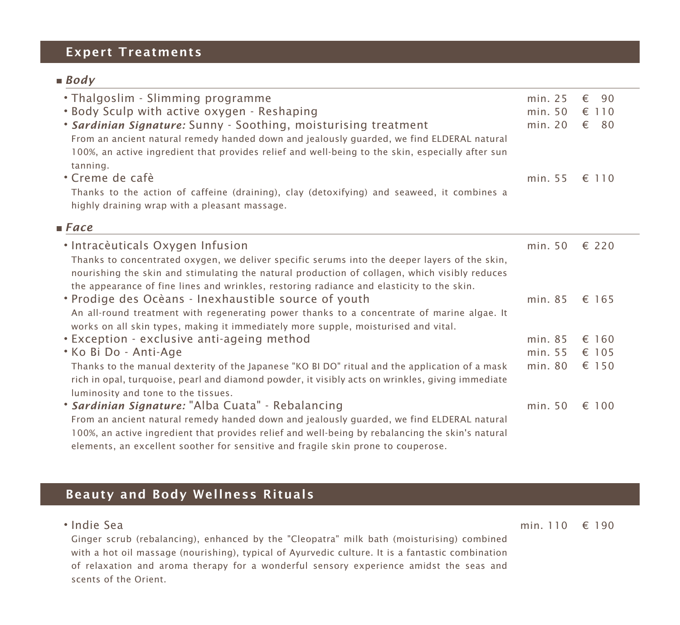# Expert Treatments

### *Body*

| . Thalgoslim - Slimming programme<br>. Body Sculp with active oxygen - Reshaping<br>. Sardinian Signature: Sunny - Soothing, moisturising treatment<br>From an ancient natural remedy handed down and jealously guarded, we find ELDERAL natural<br>100%, an active ingredient that provides relief and well-being to the skin, especially after sun<br>tanning. | min. 25<br>min.50<br>min. 20 | 90<br>€<br>$\epsilon$ 110<br>$\epsilon$ 80 |
|------------------------------------------------------------------------------------------------------------------------------------------------------------------------------------------------------------------------------------------------------------------------------------------------------------------------------------------------------------------|------------------------------|--------------------------------------------|
| • Creme de cafè                                                                                                                                                                                                                                                                                                                                                  | min. 55                      | € 110                                      |
| Thanks to the action of caffeine (draining), clay (detoxifying) and seaweed, it combines a<br>highly draining wrap with a pleasant massage.                                                                                                                                                                                                                      |                              |                                            |
| $\blacksquare$ Face                                                                                                                                                                                                                                                                                                                                              |                              |                                            |
| • Intracèuticals Oxygen Infusion<br>Thanks to concentrated oxygen, we deliver specific serums into the deeper layers of the skin,<br>nourishing the skin and stimulating the natural production of collagen, which visibly reduces<br>the appearance of fine lines and wrinkles, restoring radiance and elasticity to the skin.                                  | min.50                       | € 220                                      |
| • Prodige des Ocèans - Inexhaustible source of youth<br>An all-round treatment with regenerating power thanks to a concentrate of marine algae. It<br>works on all skin types, making it immediately more supple, moisturised and vital.                                                                                                                         | min. 85                      | € 165                                      |
| • Exception - exclusive anti-ageing method                                                                                                                                                                                                                                                                                                                       | min. 85                      | $\epsilon$ 160                             |
| * Ko Bi Do - Anti-Age                                                                                                                                                                                                                                                                                                                                            | min. 55                      | € 105                                      |
| Thanks to the manual dexterity of the Japanese "KO BI DO" ritual and the application of a mask<br>rich in opal, turquoise, pearl and diamond powder, it visibly acts on wrinkles, giving immediate<br>luminosity and tone to the tissues.                                                                                                                        | min. 80                      | € 150                                      |
| * Sardinian Signature: "Alba Cuata" - Rebalancing<br>From an ancient natural remedy handed down and jealously guarded, we find ELDERAL natural<br>100%, an active ingredient that provides relief and well-being by rebalancing the skin's natural<br>elements, an excellent soother for sensitive and fragile skin prone to couperose.                          | min.50                       | € 100                                      |

# Beauty and Body Wellness Rituals

| • Indie Sea                                                                                      |  |
|--------------------------------------------------------------------------------------------------|--|
| Ginger scrub (rebalancing), enhanced by the "Cleopatra" milk bath (moisturising) combined        |  |
| with a hot oil massage (nourishing), typical of Ayurvedic culture. It is a fantastic combination |  |
| of relaxation and aroma therapy for a wonderful sensory experience amidst the seas and           |  |
| scents of the Orient.                                                                            |  |

min. 110 € 190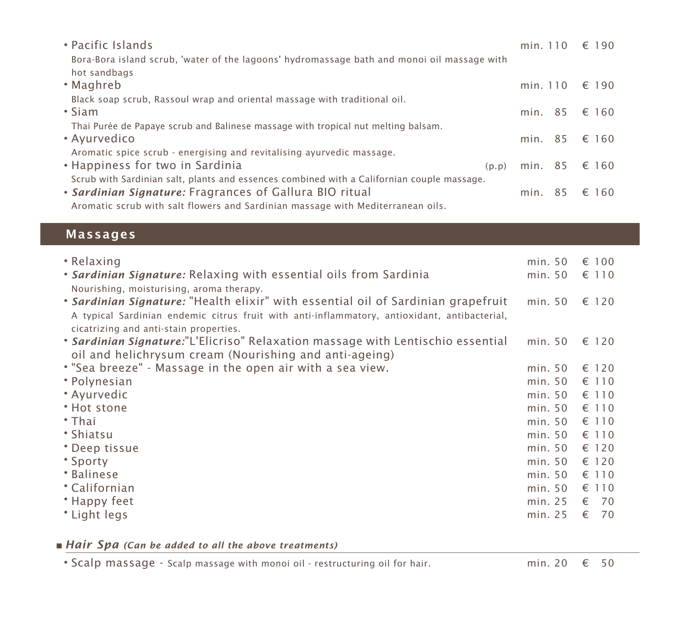| • Pacific Islands                                                                           | min. 110 | € 190         |
|---------------------------------------------------------------------------------------------|----------|---------------|
| Bora-Bora island scrub, 'water of the lagoons' hydromassage bath and monoi oil massage with |          |               |
| hot sandbags                                                                                |          |               |
| • Maghreb                                                                                   | min. 110 | € 190         |
| Black soap scrub, Rassoul wrap and oriental massage with traditional oil.                   |          |               |
| $\cdot$ Siam                                                                                | min. 85  | € 160         |
| Thai Purée de Papaye scrub and Balinese massage with tropical nut melting balsam.           |          |               |
| • Ayurvedico                                                                                |          | min. 85 € 160 |
| Aromatic spice scrub - energising and revitalising ayurvedic massage.                       |          |               |
| • Happiness for two in Sardinia<br>(p, p)                                                   | min. 85  | € 160         |
| Scrub with Sardinian salt, plants and essences combined with a Californian couple massage.  |          |               |
| • Sardinian Signature: Fragrances of Gallura BIO ritual                                     | min. 85  | € 160         |
| Aromatic scrub with salt flowers and Sardinian massage with Mediterranean oils.             |          |               |

### Massages

| • Relaxing                                                                                                                                                                                                                  | min.50  | $\epsilon$ 100 |
|-----------------------------------------------------------------------------------------------------------------------------------------------------------------------------------------------------------------------------|---------|----------------|
| • Sardinian Signature: Relaxing with essential oils from Sardinia<br>Nourishing, moisturising, aroma therapy.                                                                                                               | min. 50 | € 110          |
| . Sardinian Signature: "Health elixir" with essential oil of Sardinian grapefruit<br>A typical Sardinian endemic citrus fruit with anti-inflammatory, antioxidant, antibacterial,<br>cicatrizing and anti-stain properties. | min. 50 | € 120          |
| * Sardinian Signature:"L'Elicriso" Relaxation massage with Lentischio essential<br>oil and helichrysum cream (Nourishing and anti-ageing)                                                                                   | min.50  | $\epsilon$ 120 |
| . "Sea breeze" - Massage in the open air with a sea view.                                                                                                                                                                   | min. 50 | € 120          |
| • Polynesian                                                                                                                                                                                                                | min. 50 | $\epsilon$ 110 |
| • Ayurvedic                                                                                                                                                                                                                 | min. 50 | € 110          |
| * Hot stone                                                                                                                                                                                                                 | min. 50 | € 110          |
| $\cdot$ Thai                                                                                                                                                                                                                | min. 50 | € 110          |
| • Shiatsu                                                                                                                                                                                                                   | min. 50 | € 110          |
| * Deep tissue                                                                                                                                                                                                               | min. 50 | $\epsilon$ 120 |
| * Sporty                                                                                                                                                                                                                    | min. 50 | $\epsilon$ 120 |
| * Balinese                                                                                                                                                                                                                  | min. 50 | $\epsilon$ 110 |
| * Californian                                                                                                                                                                                                               | min. 50 | $\epsilon$ 110 |
| • Happy feet                                                                                                                                                                                                                | min. 25 | $\epsilon$ 70  |
| * Light legs                                                                                                                                                                                                                | min. 25 | $\epsilon$ 70  |

*Hair Spa (Can be added to all the above treatments)*

• Scalp massage - Scalp massage with monoi oil - restructuring oil for hair. min. 20 € 50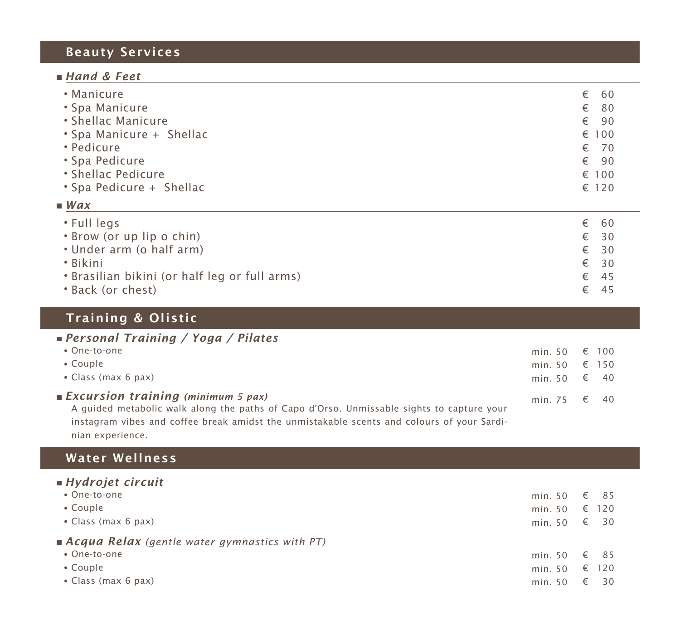# Beauty Services

### *Hand & Feet*

| • Full legs              | €<br>60   |
|--------------------------|-----------|
| Wax                      |           |
| * Spa Pedicure + Shellac | € 120     |
| • Shellac Pedicure       | € 100     |
| • Spa Pedicure           | €<br>- 90 |
| • Pedicure               | €<br>70   |
| • Spa Manicure + Shellac | € 100     |
| • Shellac Manicure       | €<br>-90  |
| • Spa Manicure           | €<br>80   |
| • Manicure               | €<br>60   |

| <b>U</b> JU JU J                              |               | C UU |
|-----------------------------------------------|---------------|------|
| • Brow (or up lip o chin)                     | $\epsilon$ 30 |      |
| • Under arm (o half arm)                      | $\epsilon$ 30 |      |
| → Bikini                                      | $\epsilon$ 30 |      |
| • Brasilian bikini (or half leg or full arms) | $\epsilon$ 45 |      |
| • Back (or chest)                             |               | - 45 |

# Training & Olistic

| <b>Personal Training / Yoga / Pilates</b>                                                                                                                                                                                            |               |  |
|--------------------------------------------------------------------------------------------------------------------------------------------------------------------------------------------------------------------------------------|---------------|--|
| • One-to-one                                                                                                                                                                                                                         | min. 50 € 100 |  |
| $\bullet$ Couple                                                                                                                                                                                                                     | min. 50 € 150 |  |
| • Class (max 6 pax)                                                                                                                                                                                                                  | min. 50 € 40  |  |
| <b>Excursion training</b> (minimum 5 pax)<br>A guided metabolic walk along the paths of Capo d'Orso. Unmissable sights to capture your<br>instagram vibes and coffee break amidst the unmistakable scents and colours of your Sardi- | min. 75 € 40  |  |

nian experience.

## Water Wellness

| $\blacksquare$ Hydrojet circuit                      |              |                    |
|------------------------------------------------------|--------------|--------------------|
| • One-to-one                                         | min. 50      | € 85               |
| • Couple                                             | min. 50      | $\epsilon$ 120     |
| • Class (max 6 pax)                                  | min. 50      | € 30               |
| <b>Acqua Relax</b> (gentle water gymnastics with PT) |              |                    |
| • One-to-one                                         | min. 50 € 85 |                    |
| • Couple                                             | min. 50      | $\epsilon$ 120     |
| • Class (max 6 pax)                                  | min. 50      | - 30<br>$\epsilon$ |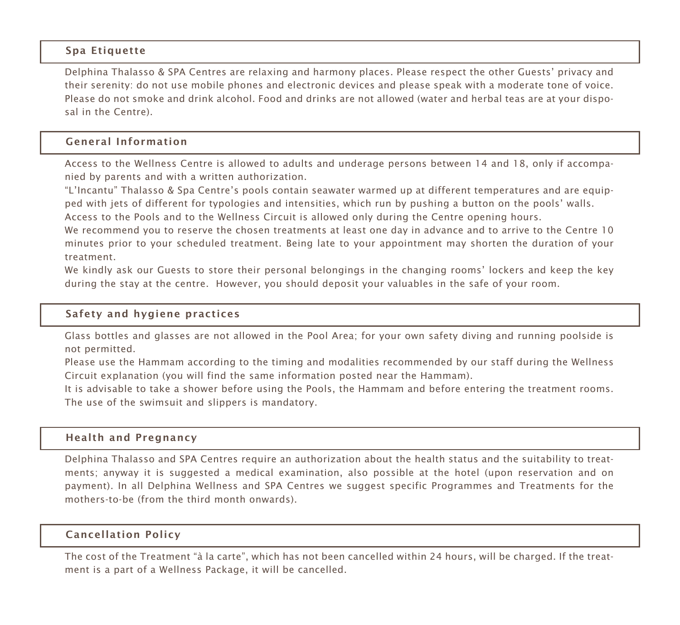#### Spa Etiquette

Delphina Thalasso & SPA Centres are relaxing and harmony places. Please respect the other Guests' privacy and their serenity: do not use mobile phones and electronic devices and please speak with a moderate tone of voice. Please do not smoke and drink alcohol. Food and drinks are not allowed (water and herbal teas are at your disposal in the Centre).

#### General Information

Access to the Wellness Centre is allowed to adults and underage persons between 14 and 18, only if accompanied by parents and with a written authorization.

"L'Incantu" Thalasso & Spa Centre's pools contain seawater warmed up at different temperatures and are equipped with jets of different for typologies and intensities, which run by pushing a button on the pools' walls.

Access to the Pools and to the Wellness Circuit is allowed only during the Centre opening hours.

We recommend you to reserve the chosen treatments at least one day in advance and to arrive to the Centre 10 minutes prior to your scheduled treatment. Being late to your appointment may shorten the duration of your treatment.

We kindly ask our Guests to store their personal belongings in the changing rooms' lockers and keep the key during the stay at the centre. However, you should deposit your valuables in the safe of your room.

#### Safety and hygiene practices

Glass bottles and glasses are not allowed in the Pool Area; for your own safety diving and running poolside is not permitted.

Please use the Hammam according to the timing and modalities recommended by our staff during the Wellness Circuit explanation (you will find the same information posted near the Hammam).

It is advisable to take a shower before using the Pools, the Hammam and before entering the treatment rooms. The use of the swimsuit and slippers is mandatory.

#### Health and Pregnancy

Delphina Thalasso and SPA Centres require an authorization about the health status and the suitability to treatments; anyway it is suggested a medical examination, also possible at the hotel (upon reservation and on payment). In all Delphina Wellness and SPA Centres we suggest specific Programmes and Treatments for the mothers-to-be (from the third month onwards).

#### Cancellation Policy

The cost of the Treatment "à la carte", which has not been cancelled within 24 hours, will be charged. If the treatment is a part of a Wellness Package, it will be cancelled.